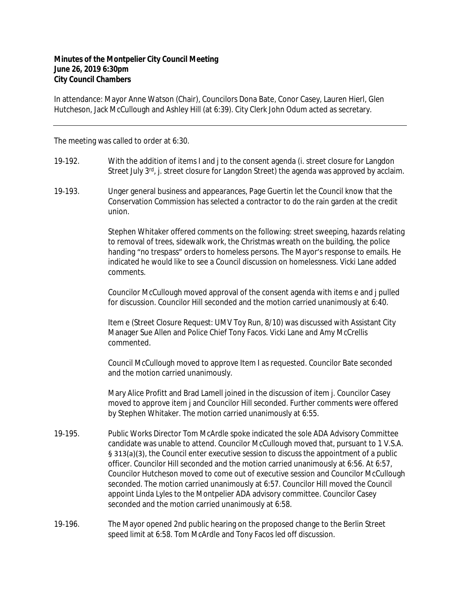## **Minutes of the Montpelier City Council Meeting June 26, 2019 6:30pm City Council Chambers**

In attendance: Mayor Anne Watson (Chair), Councilors Dona Bate, Conor Casey, Lauren Hierl, Glen Hutcheson, Jack McCullough and Ashley Hill (at 6:39). City Clerk John Odum acted as secretary.

The meeting was called to order at 6:30.

- 19-192. With the addition of items I and j to the consent agenda (i. street closure for Langdon Street July  $3^{rd}$ , j. street closure for Langdon Street) the agenda was approved by acclaim.
- 19‐193. Unger general business and appearances, Page Guertin let the Council know that the Conservation Commission has selected a contractor to do the rain garden at the credit union.

Stephen Whitaker offered comments on the following: street sweeping, hazards relating to removal of trees, sidewalk work, the Christmas wreath on the building, the police handing "no trespass" orders to homeless persons. The Mayor's response to emails. He indicated he would like to see a Council discussion on homelessness. Vicki Lane added comments.

Councilor McCullough moved approval of the consent agenda with items e and j pulled for discussion. Councilor Hill seconded and the motion carried unanimously at 6:40.

Item e (Street Closure Request: UMV Toy Run, 8/10) was discussed with Assistant City Manager Sue Allen and Police Chief Tony Facos. Vicki Lane and Amy McCrellis commented.

Council McCullough moved to approve Item I as requested. Councilor Bate seconded and the motion carried unanimously.

Mary Alice Profitt and Brad Lamell joined in the discussion of item j. Councilor Casey moved to approve item j and Councilor Hill seconded. Further comments were offered by Stephen Whitaker. The motion carried unanimously at 6:55.

- 19-195. Public Works Director Tom McArdle spoke indicated the sole ADA Advisory Committee candidate was unable to attend. Councilor McCullough moved that, pursuant to 1 V.S.A. § 313(a)(3), the Council enter executive session to discuss the appointment of a public officer. Councilor Hill seconded and the motion carried unanimously at 6:56. At 6:57, Councilor Hutcheson moved to come out of executive session and Councilor McCullough seconded. The motion carried unanimously at 6:57. Councilor Hill moved the Council appoint Linda Lyles to the Montpelier ADA advisory committee. Councilor Casey seconded and the motion carried unanimously at 6:58.
- 19-196. The Mayor opened 2nd public hearing on the proposed change to the Berlin Street speed limit at 6:58. Tom McArdle and Tony Facos led off discussion.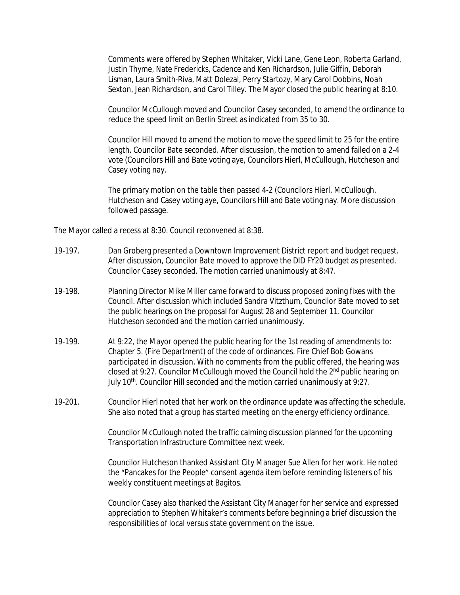Comments were offered by Stephen Whitaker, Vicki Lane, Gene Leon, Roberta Garland, Justin Thyme, Nate Fredericks, Cadence and Ken Richardson, Julie Giffin, Deborah Lisman, Laura Smith-Riva, Matt Dolezal, Perry Startozy, Mary Carol Dobbins, Noah Sexton, Jean Richardson, and Carol Tilley. The Mayor closed the public hearing at 8:10.

Councilor McCullough moved and Councilor Casey seconded, to amend the ordinance to reduce the speed limit on Berlin Street as indicated from 35 to 30.

Councilor Hill moved to amend the motion to move the speed limit to 25 for the entire length. Councilor Bate seconded. After discussion, the motion to amend failed on a 2-4 vote (Councilors Hill and Bate voting aye, Councilors Hierl, McCullough, Hutcheson and Casey voting nay.

The primary motion on the table then passed 4-2 (Councilors Hierl, McCullough, Hutcheson and Casey voting aye, Councilors Hill and Bate voting nay. More discussion followed passage.

The Mayor called a recess at 8:30. Council reconvened at 8:38.

- 19-197. Dan Groberg presented a Downtown Improvement District report and budget request. After discussion, Councilor Bate moved to approve the DID FY20 budget as presented. Councilor Casey seconded. The motion carried unanimously at 8:47.
- 19-198. Planning Director Mike Miller came forward to discuss proposed zoning fixes with the Council. After discussion which included Sandra Vitzthum, Councilor Bate moved to set the public hearings on the proposal for August 28 and September 11. Councilor Hutcheson seconded and the motion carried unanimously.
- 19‐199. At 9:22, the Mayor opened the public hearing for the 1st reading of amendments to: Chapter 5. (Fire Department) of the code of ordinances. Fire Chief Bob Gowans participated in discussion. With no comments from the public offered, the hearing was closed at 9:27. Councilor McCullough moved the Council hold the 2nd public hearing on July 10<sup>th</sup>. Councilor Hill seconded and the motion carried unanimously at 9:27.
- 19‐201. Councilor Hierl noted that her work on the ordinance update was affecting the schedule. She also noted that a group has started meeting on the energy efficiency ordinance.

Councilor McCullough noted the traffic calming discussion planned for the upcoming Transportation Infrastructure Committee next week.

Councilor Hutcheson thanked Assistant City Manager Sue Allen for her work. He noted the "Pancakes for the People" consent agenda item before reminding listeners of his weekly constituent meetings at Bagitos.

Councilor Casey also thanked the Assistant City Manager for her service and expressed appreciation to Stephen Whitaker's comments before beginning a brief discussion the responsibilities of local versus state government on the issue.